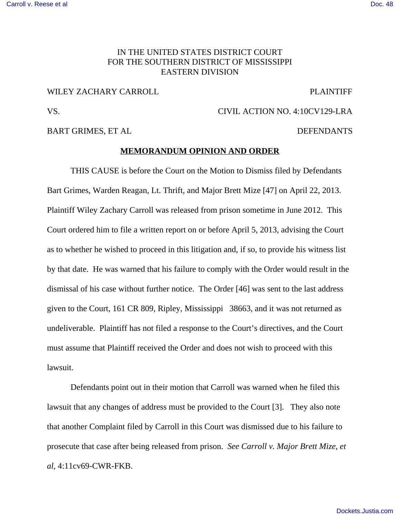#### **[Carroll v. Reese et al](http://dockets.justia.com/docket/mississippi/mssdce/4:2010cv00129/72814/) [Doc. 48](http://docs.justia.com/cases/federal/district-courts/mississippi/mssdce/4:2010cv00129/72814/48/)**

# IN THE UNITED STATES DISTRICT COURT FOR THE SOUTHERN DISTRICT OF MISSISSIPPI EASTERN DIVISION

## WILEY ZACHARY CARROLL **PLAINTIFF**

VS. CIVIL ACTION NO. 4:10CV129-LRA

BART GRIMES, ET AL DEFENDANTS

## **MEMORANDUM OPINION AND ORDER**

THIS CAUSE is before the Court on the Motion to Dismiss filed by Defendants Bart Grimes, Warden Reagan, Lt. Thrift, and Major Brett Mize [47] on April 22, 2013. Plaintiff Wiley Zachary Carroll was released from prison sometime in June 2012. This Court ordered him to file a written report on or before April 5, 2013, advising the Court as to whether he wished to proceed in this litigation and, if so, to provide his witness list by that date. He was warned that his failure to comply with the Order would result in the dismissal of his case without further notice. The Order [46] was sent to the last address given to the Court, 161 CR 809, Ripley, Mississippi 38663, and it was not returned as undeliverable. Plaintiff has not filed a response to the Court's directives, and the Court must assume that Plaintiff received the Order and does not wish to proceed with this lawsuit.

Defendants point out in their motion that Carroll was warned when he filed this lawsuit that any changes of address must be provided to the Court [3]. They also note that another Complaint filed by Carroll in this Court was dismissed due to his failure to prosecute that case after being released from prison. *See Carroll v. Major Brett Mize, et al,* 4:11cv69-CWR-FKB.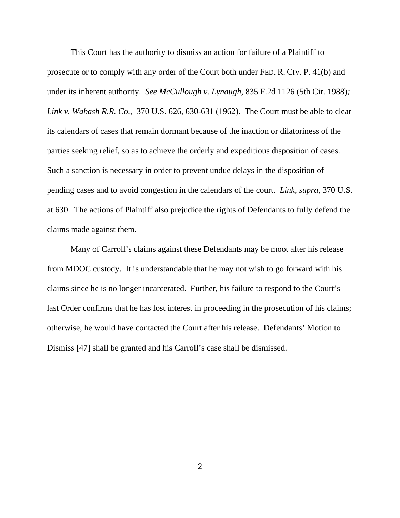This Court has the authority to dismiss an action for failure of a Plaintiff to prosecute or to comply with any order of the Court both under FED. R. CIV. P. 41(b) and under its inherent authority. *See McCullough v. Lynaugh*, 835 F.2d 1126 (5th Cir. 1988)*; Link v. Wabash R.R. Co.*, 370 U.S. 626, 630-631 (1962). The Court must be able to clear its calendars of cases that remain dormant because of the inaction or dilatoriness of the parties seeking relief, so as to achieve the orderly and expeditious disposition of cases. Such a sanction is necessary in order to prevent undue delays in the disposition of pending cases and to avoid congestion in the calendars of the court. *Link*, *supra*, 370 U.S. at 630. The actions of Plaintiff also prejudice the rights of Defendants to fully defend the claims made against them.

Many of Carroll's claims against these Defendants may be moot after his release from MDOC custody. It is understandable that he may not wish to go forward with his claims since he is no longer incarcerated. Further, his failure to respond to the Court's last Order confirms that he has lost interest in proceeding in the prosecution of his claims; otherwise, he would have contacted the Court after his release. Defendants' Motion to Dismiss [47] shall be granted and his Carroll's case shall be dismissed.